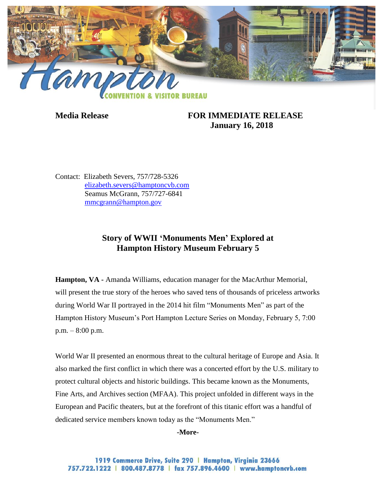

## **Media Release FOR IMMEDIATE RELEASE January 16, 2018**

Contact: Elizabeth Severs, 757/728-5326 [elizabeth.severs@hamptoncvb.com](mailto:elizabeth.severs@hamptoncvb.com) Seamus McGrann, 757/727-6841 [mmcgrann@hampton.gov](mailto:mmcgrann@hampton.gov)

## **Story of WWII 'Monuments Men' Explored at Hampton History Museum February 5**

**Hampton, VA -** Amanda Williams, education manager for the MacArthur Memorial, will present the true story of the heroes who saved tens of thousands of priceless artworks during World War II portrayed in the 2014 hit film "Monuments Men" as part of the Hampton History Museum's Port Hampton Lecture Series on Monday, February 5, 7:00 p.m. – 8:00 p.m.

World War II presented an enormous threat to the cultural heritage of Europe and Asia. It also marked the first conflict in which there was a concerted effort by the U.S. military to protect cultural objects and historic buildings. This became known as the Monuments, Fine Arts, and Archives section (MFAA). This project unfolded in different ways in the European and Pacific theaters, but at the forefront of this titanic effort was a handful of dedicated service members known today as the "Monuments Men."

## **-More-**